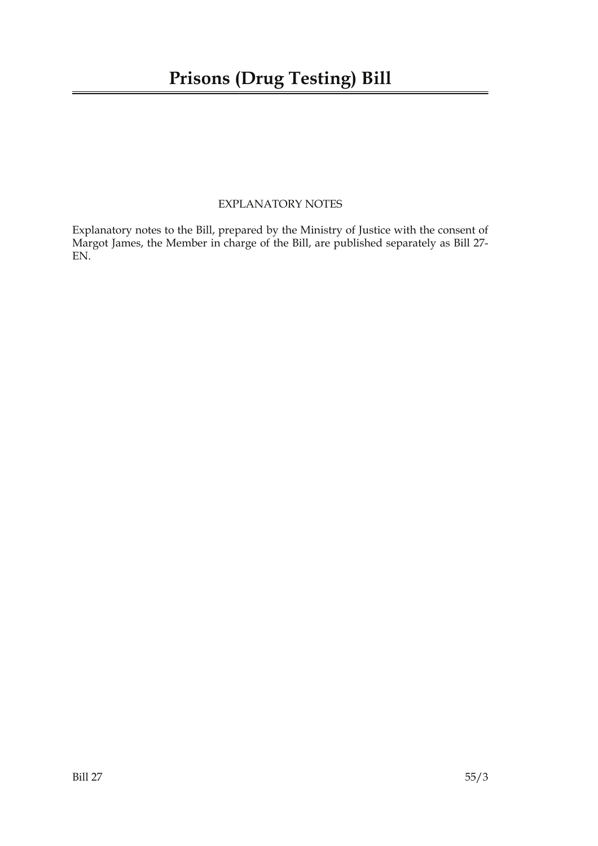### EXPLANATORY NOTES

Explanatory notes to the Bill, prepared by the Ministry of Justice with the consent of Margot James, the Member in charge of the Bill, are published separately as Bill 27- EN.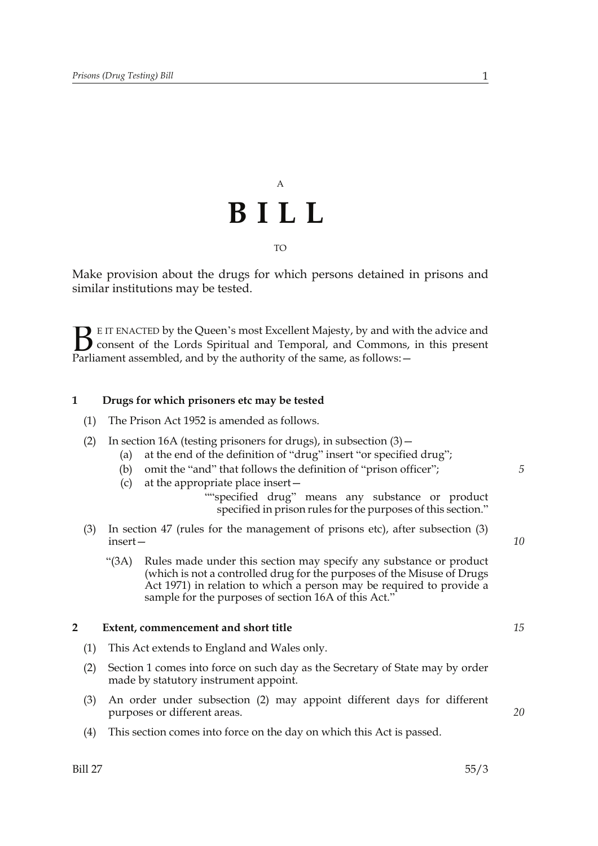## A **BILL** TO

Make provision about the drugs for which persons detained in prisons and similar institutions may be tested.

E IT ENACTED by the Queen's most Excellent Majesty, by and with the advice and consent of the Lords Spiritual and Temporal, and Commons, in this present **B** E IT ENACTED by the Queen's most Excellent Majesty, by and with consent of the Lords Spiritual and Temporal, and Commons, Parliament assembled, and by the authority of the same, as follows:  $-$ 

#### **1 Drugs for which prisoners etc may be tested**

- (1) The Prison Act 1952 is amended as follows.
- (2) In section 16A (testing prisoners for drugs), in subsection (3)—
	- (a) at the end of the definition of "drug" insert "or specified drug";
	- (b) omit the "and" that follows the definition of "prison officer";
	- (c) at the appropriate place insert—

""specified drug" means any substance or product specified in prison rules for the purposes of this section."

- (3) In section 47 (rules for the management of prisons etc), after subsection (3) insert—
	- "(3A) Rules made under this section may specify any substance or product (which is not a controlled drug for the purposes of the Misuse of Drugs Act 1971) in relation to which a person may be required to provide a sample for the purposes of section 16A of this Act."

#### **2 Extent, commencement and short title**

- (1) This Act extends to England and Wales only.
- (2) Section 1 comes into force on such day as the Secretary of State may by order made by statutory instrument appoint.
- (3) An order under subsection (2) may appoint different days for different purposes or different areas.
- (4) This section comes into force on the day on which this Act is passed.

*15*

*20*

*5*

*10*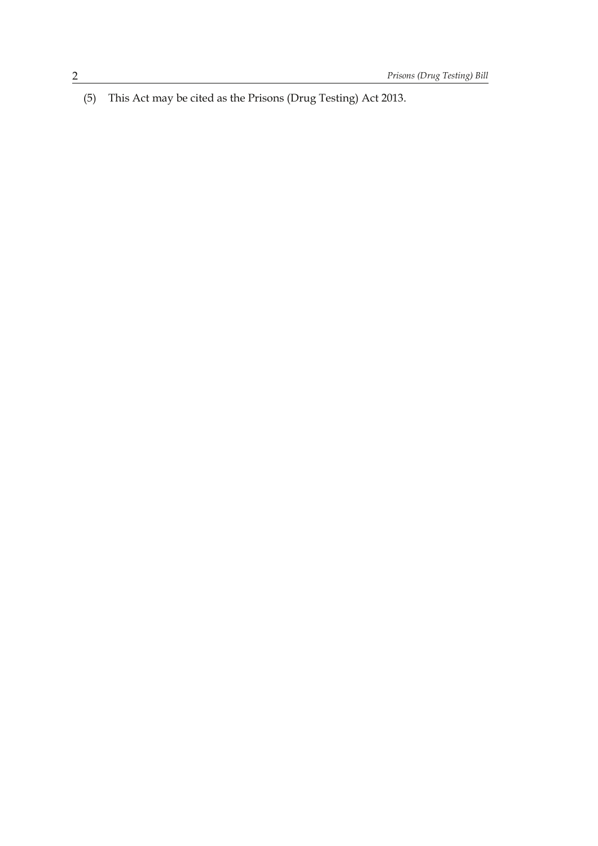(5) This Act may be cited as the Prisons (Drug Testing) Act 2013.